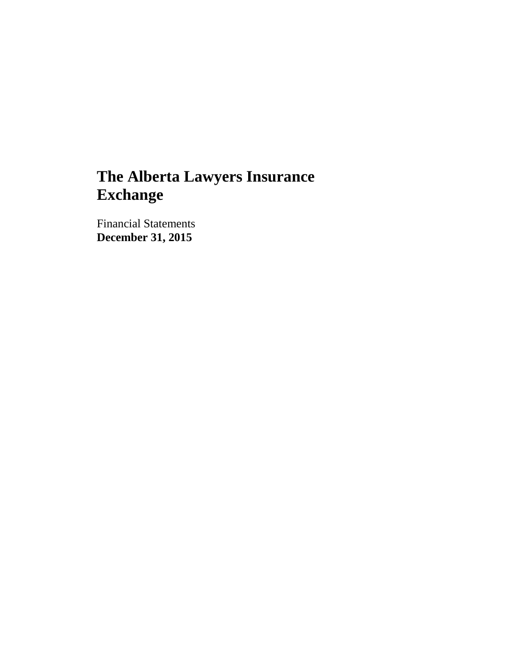Financial Statements **December 31, 2015**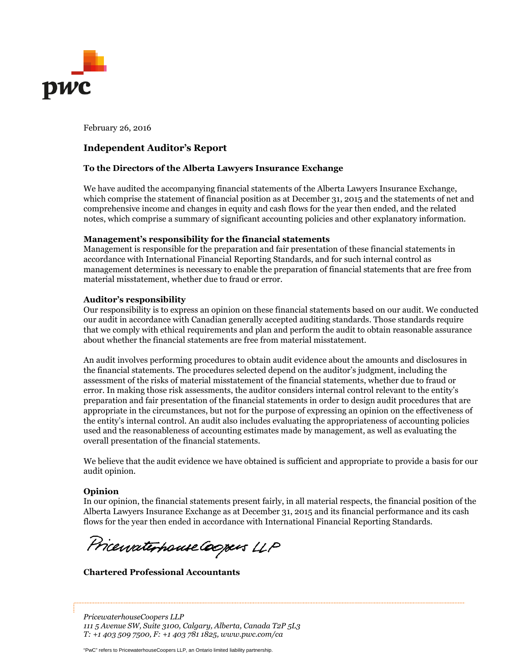

February 26, 2016

## **Independent Auditor's Report**

#### **To the Directors of the Alberta Lawyers Insurance Exchange**

We have audited the accompanying financial statements of the Alberta Lawyers Insurance Exchange, which comprise the statement of financial position as at December 31, 2015 and the statements of net and comprehensive income and changes in equity and cash flows for the year then ended, and the related notes, which comprise a summary of significant accounting policies and other explanatory information.

#### **Management's responsibility for the financial statements**

Management is responsible for the preparation and fair presentation of these financial statements in accordance with International Financial Reporting Standards, and for such internal control as management determines is necessary to enable the preparation of financial statements that are free from material misstatement, whether due to fraud or error.

#### **Auditor's responsibility**

Our responsibility is to express an opinion on these financial statements based on our audit. We conducted our audit in accordance with Canadian generally accepted auditing standards. Those standards require that we comply with ethical requirements and plan and perform the audit to obtain reasonable assurance about whether the financial statements are free from material misstatement.

An audit involves performing procedures to obtain audit evidence about the amounts and disclosures in the financial statements. The procedures selected depend on the auditor's judgment, including the assessment of the risks of material misstatement of the financial statements, whether due to fraud or error. In making those risk assessments, the auditor considers internal control relevant to the entity's preparation and fair presentation of the financial statements in order to design audit procedures that are appropriate in the circumstances, but not for the purpose of expressing an opinion on the effectiveness of the entity's internal control. An audit also includes evaluating the appropriateness of accounting policies used and the reasonableness of accounting estimates made by management, as well as evaluating the overall presentation of the financial statements.

We believe that the audit evidence we have obtained is sufficient and appropriate to provide a basis for our audit opinion.

#### **Opinion**

In our opinion, the financial statements present fairly, in all material respects, the financial position of the Alberta Lawyers Insurance Exchange as at December 31, 2015 and its financial performance and its cash flows for the year then ended in accordance with International Financial Reporting Standards.

Pricewaterhouse Coopers LLP

**Chartered Professional Accountants**

*PricewaterhouseCoopers LLP 111 5 Avenue SW, Suite 3100, Calgary, Alberta, Canada T2P 5L3 T: +1 403 509 7500, F: +1 403 781 1825, www.pwc.com/ca*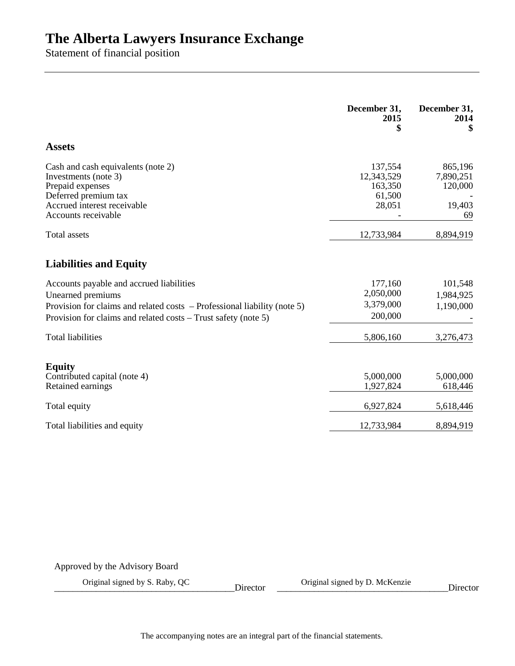Statement of financial position

|                                                                                                                                                                                                               | December 31,<br>2015<br>\$                           | December 31,<br>2014<br>\$                      |
|---------------------------------------------------------------------------------------------------------------------------------------------------------------------------------------------------------------|------------------------------------------------------|-------------------------------------------------|
| <b>Assets</b>                                                                                                                                                                                                 |                                                      |                                                 |
| Cash and cash equivalents (note 2)<br>Investments (note 3)<br>Prepaid expenses<br>Deferred premium tax<br>Accrued interest receivable<br>Accounts receivable                                                  | 137,554<br>12,343,529<br>163,350<br>61,500<br>28,051 | 865,196<br>7,890,251<br>120,000<br>19,403<br>69 |
| <b>Total assets</b>                                                                                                                                                                                           | 12,733,984                                           | 8,894,919                                       |
| <b>Liabilities and Equity</b>                                                                                                                                                                                 |                                                      |                                                 |
| Accounts payable and accrued liabilities<br>Unearned premiums<br>Provision for claims and related costs $-$ Professional liability (note 5)<br>Provision for claims and related costs – Trust safety (note 5) | 177,160<br>2,050,000<br>3,379,000<br>200,000         | 101,548<br>1,984,925<br>1,190,000               |
| <b>Total liabilities</b>                                                                                                                                                                                      | 5,806,160                                            | 3,276,473                                       |
| <b>Equity</b><br>Contributed capital (note 4)<br>Retained earnings                                                                                                                                            | 5,000,000<br>1,927,824                               | 5,000,000<br>618,446                            |
| Total equity                                                                                                                                                                                                  | 6,927,824                                            | 5,618,446                                       |
| Total liabilities and equity                                                                                                                                                                                  | 12,733,984                                           | 8,894,919                                       |

Approved by the Advisory Board

Original signed by S. Raby, QC Director Criginal signed by D. McKenzie Director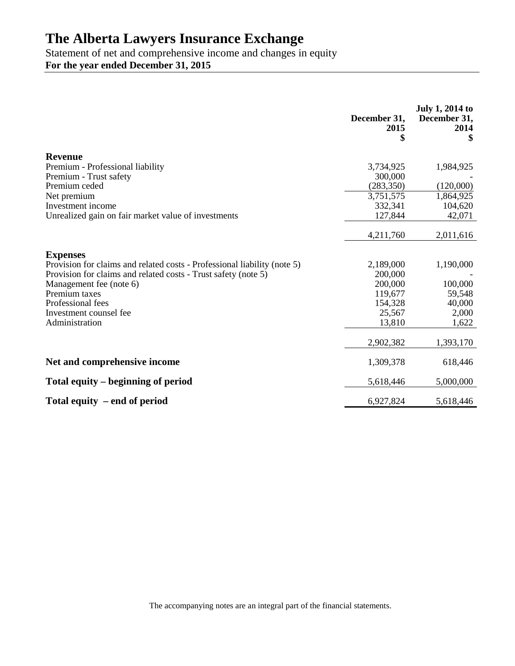Statement of net and comprehensive income and changes in equity **For the year ended December 31, 2015**

|                                                                          | December 31,<br>2015 | <b>July 1, 2014 to</b><br>December 31,<br>2014 |
|--------------------------------------------------------------------------|----------------------|------------------------------------------------|
| <b>Revenue</b>                                                           |                      |                                                |
| Premium - Professional liability                                         | 3,734,925            | 1,984,925                                      |
| Premium - Trust safety                                                   | 300,000              |                                                |
| Premium ceded                                                            | (283, 350)           | (120,000)                                      |
| Net premium                                                              | 3,751,575            | 1,864,925                                      |
| Investment income                                                        | 332,341              | 104,620                                        |
| Unrealized gain on fair market value of investments                      | 127,844              | 42,071                                         |
|                                                                          | 4,211,760            | 2,011,616                                      |
| <b>Expenses</b>                                                          |                      |                                                |
| Provision for claims and related costs - Professional liability (note 5) | 2,189,000            | 1,190,000                                      |
| Provision for claims and related costs - Trust safety (note 5)           | 200,000              |                                                |
| Management fee (note 6)                                                  | 200,000              | 100,000                                        |
| Premium taxes                                                            | 119,677              | 59,548                                         |
| Professional fees                                                        | 154,328              | 40,000                                         |
| Investment counsel fee<br>Administration                                 | 25,567               | 2,000                                          |
|                                                                          | 13,810               | 1,622                                          |
|                                                                          | 2,902,382            | 1,393,170                                      |
| Net and comprehensive income                                             | 1,309,378            | 618,446                                        |
| Total equity – beginning of period                                       | 5,618,446            | 5,000,000                                      |
| Total equity – end of period                                             | 6,927,824            | 5,618,446                                      |

The accompanying notes are an integral part of the financial statements.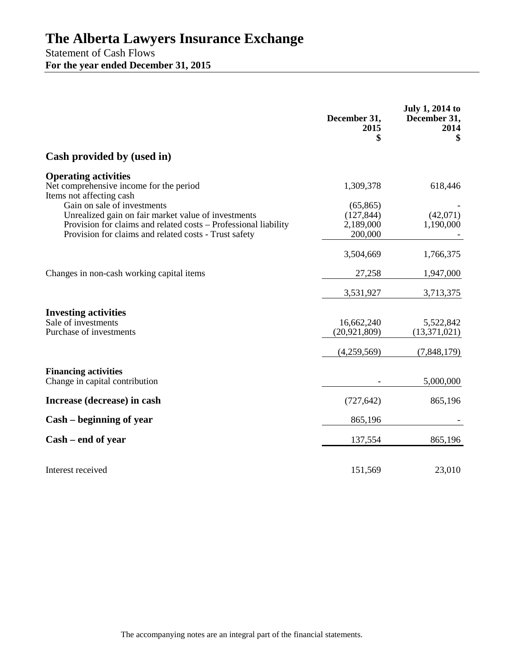Statement of Cash Flows **For the year ended December 31, 2015**

|                                                                                                                                                                                                                | December 31,<br>2015<br>\$                      | <b>July 1, 2014 to</b><br>December 31,<br>2014<br>\$ |
|----------------------------------------------------------------------------------------------------------------------------------------------------------------------------------------------------------------|-------------------------------------------------|------------------------------------------------------|
| Cash provided by (used in)                                                                                                                                                                                     |                                                 |                                                      |
| <b>Operating activities</b><br>Net comprehensive income for the period<br>Items not affecting cash                                                                                                             | 1,309,378                                       | 618,446                                              |
| Gain on sale of investments<br>Unrealized gain on fair market value of investments<br>Provision for claims and related costs – Professional liability<br>Provision for claims and related costs - Trust safety | (65, 865)<br>(127, 844)<br>2,189,000<br>200,000 | (42,071)<br>1,190,000                                |
|                                                                                                                                                                                                                | 3,504,669                                       | 1,766,375                                            |
| Changes in non-cash working capital items                                                                                                                                                                      | 27,258                                          | 1,947,000                                            |
|                                                                                                                                                                                                                | 3,531,927                                       | 3,713,375                                            |
| <b>Investing activities</b><br>Sale of investments<br>Purchase of investments                                                                                                                                  | 16,662,240<br>(20, 921, 809)                    | 5,522,842<br>(13, 371, 021)                          |
|                                                                                                                                                                                                                | (4,259,569)                                     | (7,848,179)                                          |
| <b>Financing activities</b><br>Change in capital contribution                                                                                                                                                  |                                                 | 5,000,000                                            |
| Increase (decrease) in cash                                                                                                                                                                                    | (727, 642)                                      | 865,196                                              |
| Cash – beginning of year                                                                                                                                                                                       | 865,196                                         |                                                      |
| Cash – end of year                                                                                                                                                                                             | 137,554                                         | 865,196                                              |
| Interest received                                                                                                                                                                                              | 151,569                                         | 23,010                                               |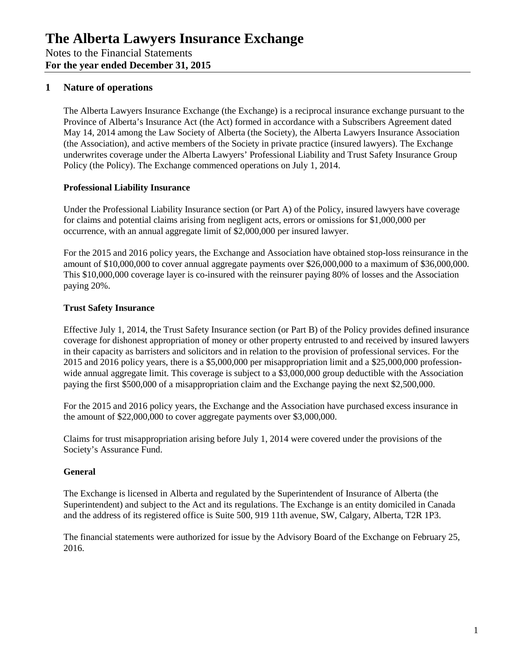## **1 Nature of operations**

The Alberta Lawyers Insurance Exchange (the Exchange) is a reciprocal insurance exchange pursuant to the Province of Alberta's Insurance Act (the Act) formed in accordance with a Subscribers Agreement dated May 14, 2014 among the Law Society of Alberta (the Society), the Alberta Lawyers Insurance Association (the Association), and active members of the Society in private practice (insured lawyers). The Exchange underwrites coverage under the Alberta Lawyers' Professional Liability and Trust Safety Insurance Group Policy (the Policy). The Exchange commenced operations on July 1, 2014.

## **Professional Liability Insurance**

Under the Professional Liability Insurance section (or Part A) of the Policy, insured lawyers have coverage for claims and potential claims arising from negligent acts, errors or omissions for \$1,000,000 per occurrence, with an annual aggregate limit of \$2,000,000 per insured lawyer.

For the 2015 and 2016 policy years, the Exchange and Association have obtained stop-loss reinsurance in the amount of \$10,000,000 to cover annual aggregate payments over \$26,000,000 to a maximum of \$36,000,000. This \$10,000,000 coverage layer is co-insured with the reinsurer paying 80% of losses and the Association paying 20%.

## **Trust Safety Insurance**

Effective July 1, 2014, the Trust Safety Insurance section (or Part B) of the Policy provides defined insurance coverage for dishonest appropriation of money or other property entrusted to and received by insured lawyers in their capacity as barristers and solicitors and in relation to the provision of professional services. For the 2015 and 2016 policy years, there is a \$5,000,000 per misappropriation limit and a \$25,000,000 professionwide annual aggregate limit. This coverage is subject to a \$3,000,000 group deductible with the Association paying the first \$500,000 of a misappropriation claim and the Exchange paying the next \$2,500,000.

For the 2015 and 2016 policy years, the Exchange and the Association have purchased excess insurance in the amount of \$22,000,000 to cover aggregate payments over \$3,000,000.

Claims for trust misappropriation arising before July 1, 2014 were covered under the provisions of the Society's Assurance Fund.

## **General**

The Exchange is licensed in Alberta and regulated by the Superintendent of Insurance of Alberta (the Superintendent) and subject to the Act and its regulations. The Exchange is an entity domiciled in Canada and the address of its registered office is Suite 500, 919 11th avenue, SW, Calgary, Alberta, T2R 1P3.

The financial statements were authorized for issue by the Advisory Board of the Exchange on February 25, 2016.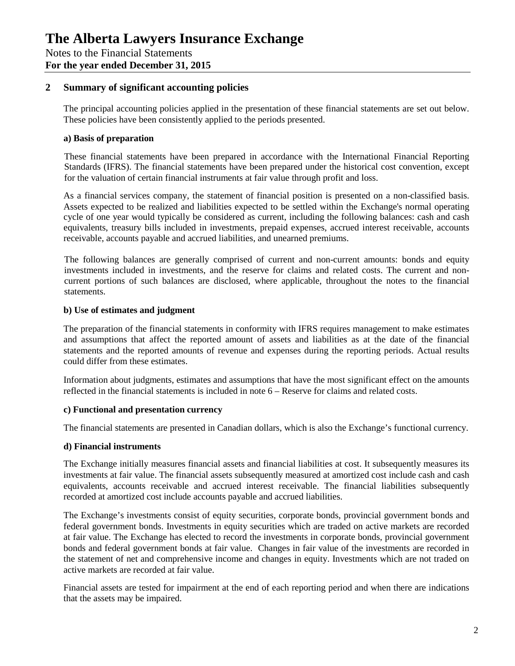## **2 Summary of significant accounting policies**

The principal accounting policies applied in the presentation of these financial statements are set out below. These policies have been consistently applied to the periods presented.

#### **a) Basis of preparation**

These financial statements have been prepared in accordance with the International Financial Reporting Standards (IFRS). The financial statements have been prepared under the historical cost convention, except for the valuation of certain financial instruments at fair value through profit and loss.

As a financial services company, the statement of financial position is presented on a non-classified basis. Assets expected to be realized and liabilities expected to be settled within the Exchange's normal operating cycle of one year would typically be considered as current, including the following balances: cash and cash equivalents, treasury bills included in investments, prepaid expenses, accrued interest receivable, accounts receivable, accounts payable and accrued liabilities, and unearned premiums.

The following balances are generally comprised of current and non-current amounts: bonds and equity investments included in investments, and the reserve for claims and related costs. The current and noncurrent portions of such balances are disclosed, where applicable, throughout the notes to the financial statements.

#### **b) Use of estimates and judgment**

The preparation of the financial statements in conformity with IFRS requires management to make estimates and assumptions that affect the reported amount of assets and liabilities as at the date of the financial statements and the reported amounts of revenue and expenses during the reporting periods. Actual results could differ from these estimates.

Information about judgments, estimates and assumptions that have the most significant effect on the amounts reflected in the financial statements is included in note 6 – Reserve for claims and related costs.

## **c) Functional and presentation currency**

The financial statements are presented in Canadian dollars, which is also the Exchange's functional currency.

#### **d) Financial instruments**

The Exchange initially measures financial assets and financial liabilities at cost. It subsequently measures its investments at fair value. The financial assets subsequently measured at amortized cost include cash and cash equivalents, accounts receivable and accrued interest receivable. The financial liabilities subsequently recorded at amortized cost include accounts payable and accrued liabilities.

The Exchange's investments consist of equity securities, corporate bonds, provincial government bonds and federal government bonds. Investments in equity securities which are traded on active markets are recorded at fair value. The Exchange has elected to record the investments in corporate bonds, provincial government bonds and federal government bonds at fair value. Changes in fair value of the investments are recorded in the statement of net and comprehensive income and changes in equity. Investments which are not traded on active markets are recorded at fair value.

Financial assets are tested for impairment at the end of each reporting period and when there are indications that the assets may be impaired.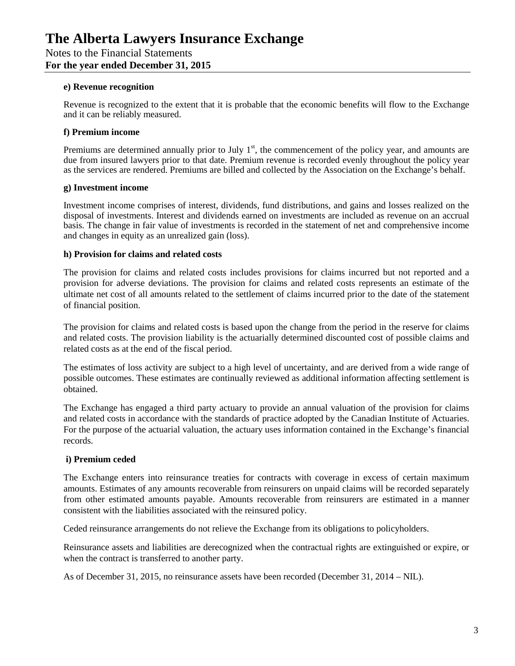#### **e) Revenue recognition**

Revenue is recognized to the extent that it is probable that the economic benefits will flow to the Exchange and it can be reliably measured.

## **f) Premium income**

Premiums are determined annually prior to July  $1<sup>st</sup>$ , the commencement of the policy year, and amounts are due from insured lawyers prior to that date. Premium revenue is recorded evenly throughout the policy year as the services are rendered. Premiums are billed and collected by the Association on the Exchange's behalf.

## **g) Investment income**

Investment income comprises of interest, dividends, fund distributions, and gains and losses realized on the disposal of investments. Interest and dividends earned on investments are included as revenue on an accrual basis. The change in fair value of investments is recorded in the statement of net and comprehensive income and changes in equity as an unrealized gain (loss).

#### **h) Provision for claims and related costs**

The provision for claims and related costs includes provisions for claims incurred but not reported and a provision for adverse deviations. The provision for claims and related costs represents an estimate of the ultimate net cost of all amounts related to the settlement of claims incurred prior to the date of the statement of financial position.

The provision for claims and related costs is based upon the change from the period in the reserve for claims and related costs. The provision liability is the actuarially determined discounted cost of possible claims and related costs as at the end of the fiscal period.

The estimates of loss activity are subject to a high level of uncertainty, and are derived from a wide range of possible outcomes. These estimates are continually reviewed as additional information affecting settlement is obtained.

The Exchange has engaged a third party actuary to provide an annual valuation of the provision for claims and related costs in accordance with the standards of practice adopted by the Canadian Institute of Actuaries. For the purpose of the actuarial valuation, the actuary uses information contained in the Exchange's financial records.

## **i) Premium ceded**

The Exchange enters into reinsurance treaties for contracts with coverage in excess of certain maximum amounts. Estimates of any amounts recoverable from reinsurers on unpaid claims will be recorded separately from other estimated amounts payable. Amounts recoverable from reinsurers are estimated in a manner consistent with the liabilities associated with the reinsured policy.

Ceded reinsurance arrangements do not relieve the Exchange from its obligations to policyholders.

Reinsurance assets and liabilities are derecognized when the contractual rights are extinguished or expire, or when the contract is transferred to another party.

As of December 31, 2015, no reinsurance assets have been recorded (December 31, 2014 – NIL).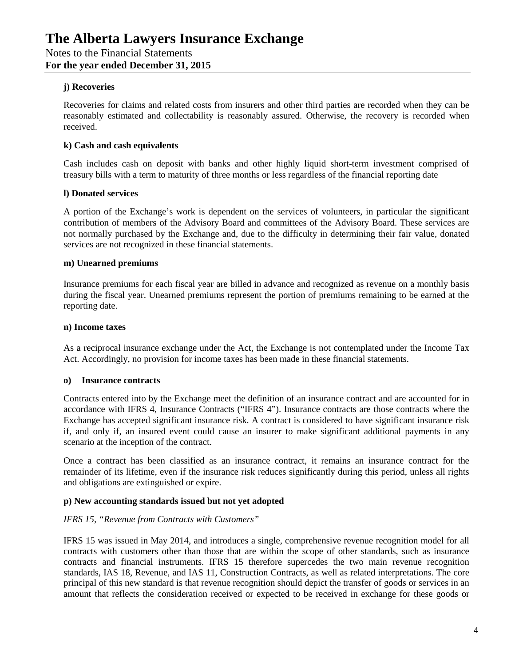#### **j) Recoveries**

Recoveries for claims and related costs from insurers and other third parties are recorded when they can be reasonably estimated and collectability is reasonably assured. Otherwise, the recovery is recorded when received.

## **k) Cash and cash equivalents**

Cash includes cash on deposit with banks and other highly liquid short-term investment comprised of treasury bills with a term to maturity of three months or less regardless of the financial reporting date

#### **l) Donated services**

A portion of the Exchange's work is dependent on the services of volunteers, in particular the significant contribution of members of the Advisory Board and committees of the Advisory Board. These services are not normally purchased by the Exchange and, due to the difficulty in determining their fair value, donated services are not recognized in these financial statements.

#### **m) Unearned premiums**

Insurance premiums for each fiscal year are billed in advance and recognized as revenue on a monthly basis during the fiscal year. Unearned premiums represent the portion of premiums remaining to be earned at the reporting date.

#### **n) Income taxes**

As a reciprocal insurance exchange under the Act, the Exchange is not contemplated under the Income Tax Act. Accordingly, no provision for income taxes has been made in these financial statements.

#### **o) Insurance contracts**

Contracts entered into by the Exchange meet the definition of an insurance contract and are accounted for in accordance with IFRS 4, Insurance Contracts ("IFRS 4"). Insurance contracts are those contracts where the Exchange has accepted significant insurance risk. A contract is considered to have significant insurance risk if, and only if, an insured event could cause an insurer to make significant additional payments in any scenario at the inception of the contract.

Once a contract has been classified as an insurance contract, it remains an insurance contract for the remainder of its lifetime, even if the insurance risk reduces significantly during this period, unless all rights and obligations are extinguished or expire.

#### **p) New accounting standards issued but not yet adopted**

#### *IFRS 15, "Revenue from Contracts with Customers"*

IFRS 15 was issued in May 2014, and introduces a single, comprehensive revenue recognition model for all contracts with customers other than those that are within the scope of other standards, such as insurance contracts and financial instruments. IFRS 15 therefore supercedes the two main revenue recognition standards, IAS 18, Revenue, and IAS 11, Construction Contracts, as well as related interpretations. The core principal of this new standard is that revenue recognition should depict the transfer of goods or services in an amount that reflects the consideration received or expected to be received in exchange for these goods or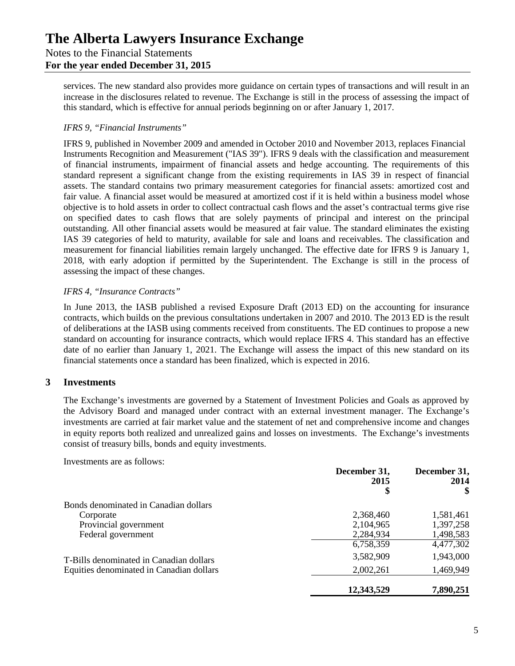## Notes to the Financial Statements **For the year ended December 31, 2015**

services. The new standard also provides more guidance on certain types of transactions and will result in an increase in the disclosures related to revenue. The Exchange is still in the process of assessing the impact of this standard, which is effective for annual periods beginning on or after January 1, 2017.

## *IFRS 9, "Financial Instruments"*

IFRS 9, published in November 2009 and amended in October 2010 and November 2013, replaces Financial Instruments Recognition and Measurement ("IAS 39"). IFRS 9 deals with the classification and measurement of financial instruments, impairment of financial assets and hedge accounting. The requirements of this standard represent a significant change from the existing requirements in IAS 39 in respect of financial assets. The standard contains two primary measurement categories for financial assets: amortized cost and fair value. A financial asset would be measured at amortized cost if it is held within a business model whose objective is to hold assets in order to collect contractual cash flows and the asset's contractual terms give rise on specified dates to cash flows that are solely payments of principal and interest on the principal outstanding. All other financial assets would be measured at fair value. The standard eliminates the existing IAS 39 categories of held to maturity, available for sale and loans and receivables. The classification and measurement for financial liabilities remain largely unchanged. The effective date for IFRS 9 is January 1, 2018, with early adoption if permitted by the Superintendent. The Exchange is still in the process of assessing the impact of these changes.

## *IFRS 4, "Insurance Contracts"*

In June 2013, the IASB published a revised Exposure Draft (2013 ED) on the accounting for insurance contracts, which builds on the previous consultations undertaken in 2007 and 2010. The 2013 ED is the result of deliberations at the IASB using comments received from constituents. The ED continues to propose a new standard on accounting for insurance contracts, which would replace IFRS 4. This standard has an effective date of no earlier than January 1, 2021. The Exchange will assess the impact of this new standard on its financial statements once a standard has been finalized, which is expected in 2016.

## **3 Investments**

The Exchange's investments are governed by a Statement of Investment Policies and Goals as approved by the Advisory Board and managed under contract with an external investment manager. The Exchange's investments are carried at fair market value and the statement of net and comprehensive income and changes in equity reports both realized and unrealized gains and losses on investments. The Exchange's investments consist of treasury bills, bonds and equity investments.

Investments are as follows:

|                                          | December 31,<br>2015 | December 31,<br>2014 |
|------------------------------------------|----------------------|----------------------|
|                                          | \$                   | $\mathbf{\$}$        |
| Bonds denominated in Canadian dollars    |                      |                      |
| Corporate                                | 2,368,460            | 1,581,461            |
| Provincial government                    | 2,104,965            | 1,397,258            |
| Federal government                       | 2,284,934            | 1,498,583            |
|                                          | 6,758,359            | 4,477,302            |
| T-Bills denominated in Canadian dollars  | 3,582,909            | 1,943,000            |
| Equities denominated in Canadian dollars | 2,002,261            | 1,469,949            |
|                                          | 12,343,529           | 7,890,251            |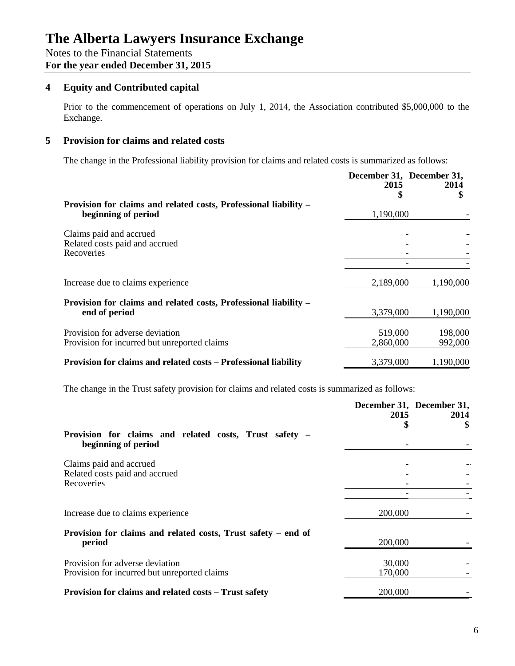**For the year ended December 31, 2015**

## **4 Equity and Contributed capital**

Prior to the commencement of operations on July 1, 2014, the Association contributed \$5,000,000 to the Exchange.

## **5 Provision for claims and related costs**

The change in the Professional liability provision for claims and related costs is summarized as follows:

|                                                                                         | December 31, December 31, |                    |
|-----------------------------------------------------------------------------------------|---------------------------|--------------------|
|                                                                                         | 2015                      | 2014               |
| Provision for claims and related costs, Professional liability –<br>beginning of period | 1,190,000                 |                    |
| Claims paid and accrued<br>Related costs paid and accrued                               |                           |                    |
| Recoveries                                                                              |                           |                    |
| Increase due to claims experience                                                       | 2,189,000                 | 1,190,000          |
| Provision for claims and related costs, Professional liability -<br>end of period       | 3,379,000                 | 1,190,000          |
| Provision for adverse deviation<br>Provision for incurred but unreported claims         | 519,000<br>2,860,000      | 198,000<br>992,000 |
| Provision for claims and related costs - Professional liability                         | 3,379,000                 | 1,190,000          |

The change in the Trust safety provision for claims and related costs is summarized as follows:

|                                                               | 2015    | December 31, December 31,<br>2014 |
|---------------------------------------------------------------|---------|-----------------------------------|
|                                                               | \$      |                                   |
| Provision for claims and related costs, Trust safety –        |         |                                   |
| beginning of period                                           |         |                                   |
| Claims paid and accrued                                       |         |                                   |
| Related costs paid and accrued                                |         |                                   |
| Recoveries                                                    |         |                                   |
|                                                               |         |                                   |
| Increase due to claims experience                             | 200,000 |                                   |
| Provision for claims and related costs, Trust safety – end of |         |                                   |
| period                                                        | 200,000 |                                   |
| Provision for adverse deviation                               | 30,000  |                                   |
| Provision for incurred but unreported claims                  | 170,000 |                                   |
| Provision for claims and related costs – Trust safety         | 200,000 |                                   |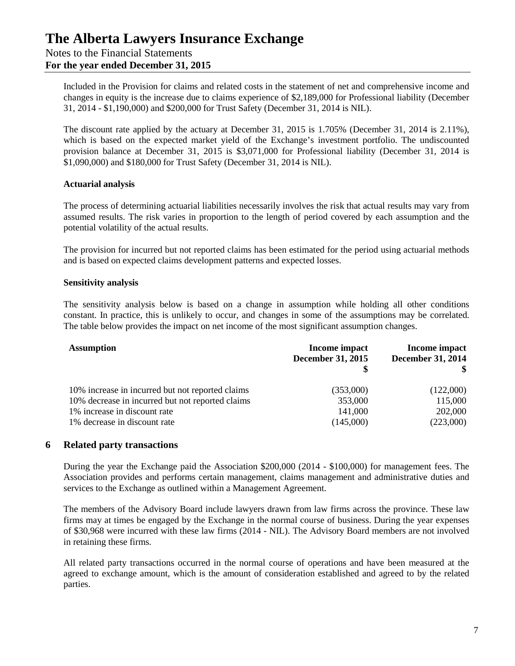Included in the Provision for claims and related costs in the statement of net and comprehensive income and changes in equity is the increase due to claims experience of \$2,189,000 for Professional liability (December 31, 2014 - \$1,190,000) and \$200,000 for Trust Safety (December 31, 2014 is NIL).

The discount rate applied by the actuary at December 31, 2015 is 1.705% (December 31, 2014 is 2.11%), which is based on the expected market yield of the Exchange's investment portfolio. The undiscounted provision balance at December 31, 2015 is \$3,071,000 for Professional liability (December 31, 2014 is \$1,090,000) and \$180,000 for Trust Safety (December 31, 2014 is NIL).

#### **Actuarial analysis**

The process of determining actuarial liabilities necessarily involves the risk that actual results may vary from assumed results. The risk varies in proportion to the length of period covered by each assumption and the potential volatility of the actual results.

The provision for incurred but not reported claims has been estimated for the period using actuarial methods and is based on expected claims development patterns and expected losses.

#### **Sensitivity analysis**

The sensitivity analysis below is based on a change in assumption while holding all other conditions constant. In practice, this is unlikely to occur, and changes in some of the assumptions may be correlated. The table below provides the impact on net income of the most significant assumption changes.

| <b>Assumption</b>                                | Income impact<br><b>December 31, 2015</b> | Income impact<br><b>December 31, 2014</b><br>SS. |
|--------------------------------------------------|-------------------------------------------|--------------------------------------------------|
| 10% increase in incurred but not reported claims | (353,000)                                 | (122,000)                                        |
| 10% decrease in incurred but not reported claims | 353,000                                   | 115,000                                          |
| 1% increase in discount rate                     | 141,000                                   | 202,000                                          |
| 1% decrease in discount rate                     | (145,000)                                 | (223,000)                                        |

#### **6 Related party transactions**

During the year the Exchange paid the Association \$200,000 (2014 - \$100,000) for management fees. The Association provides and performs certain management, claims management and administrative duties and services to the Exchange as outlined within a Management Agreement.

The members of the Advisory Board include lawyers drawn from law firms across the province. These law firms may at times be engaged by the Exchange in the normal course of business. During the year expenses of \$30,968 were incurred with these law firms (2014 - NIL). The Advisory Board members are not involved in retaining these firms.

All related party transactions occurred in the normal course of operations and have been measured at the agreed to exchange amount, which is the amount of consideration established and agreed to by the related parties.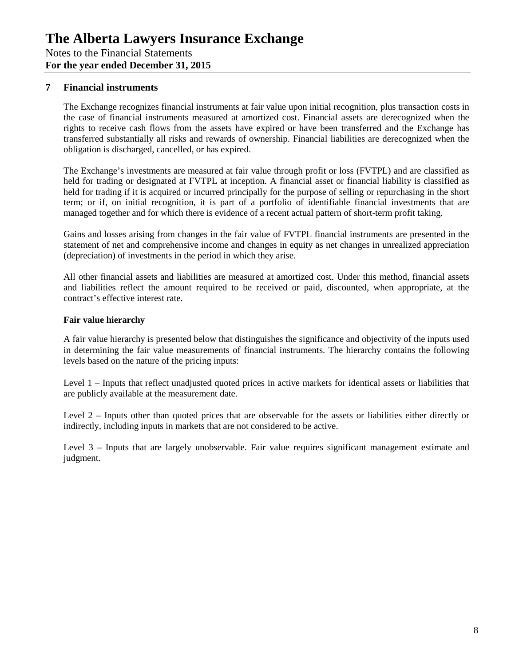## **7 Financial instruments**

The Exchange recognizes financial instruments at fair value upon initial recognition, plus transaction costs in the case of financial instruments measured at amortized cost. Financial assets are derecognized when the rights to receive cash flows from the assets have expired or have been transferred and the Exchange has transferred substantially all risks and rewards of ownership. Financial liabilities are derecognized when the obligation is discharged, cancelled, or has expired.

The Exchange's investments are measured at fair value through profit or loss (FVTPL) and are classified as held for trading or designated at FVTPL at inception. A financial asset or financial liability is classified as held for trading if it is acquired or incurred principally for the purpose of selling or repurchasing in the short term; or if, on initial recognition, it is part of a portfolio of identifiable financial investments that are managed together and for which there is evidence of a recent actual pattern of short-term profit taking.

Gains and losses arising from changes in the fair value of FVTPL financial instruments are presented in the statement of net and comprehensive income and changes in equity as net changes in unrealized appreciation (depreciation) of investments in the period in which they arise.

All other financial assets and liabilities are measured at amortized cost. Under this method, financial assets and liabilities reflect the amount required to be received or paid, discounted, when appropriate, at the contract's effective interest rate.

## **Fair value hierarchy**

A fair value hierarchy is presented below that distinguishes the significance and objectivity of the inputs used in determining the fair value measurements of financial instruments. The hierarchy contains the following levels based on the nature of the pricing inputs:

Level 1 – Inputs that reflect unadjusted quoted prices in active markets for identical assets or liabilities that are publicly available at the measurement date.

Level 2 – Inputs other than quoted prices that are observable for the assets or liabilities either directly or indirectly, including inputs in markets that are not considered to be active.

Level 3 – Inputs that are largely unobservable. Fair value requires significant management estimate and judgment.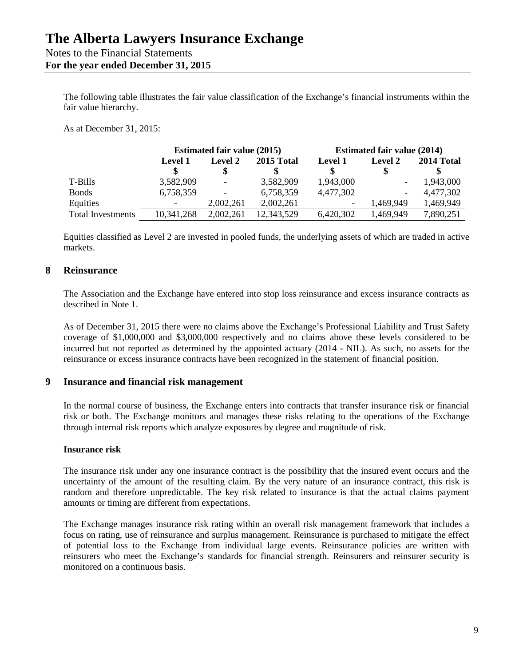The following table illustrates the fair value classification of the Exchange's financial instruments within the fair value hierarchy.

As at December 31, 2015:

|                          |                          | <b>Estimated fair value (2015)</b> |            | <b>Estimated fair value (2014)</b> |                              |            |  |
|--------------------------|--------------------------|------------------------------------|------------|------------------------------------|------------------------------|------------|--|
|                          | <b>Level 1</b>           | <b>Level 2</b>                     | 2015 Total | <b>Level 1</b>                     | <b>Level 2</b>               | 2014 Total |  |
|                          |                          |                                    |            |                                    |                              |            |  |
| T-Bills                  | 3,582,909                | $\overline{\phantom{a}}$           | 3,582,909  | 1,943,000                          | $\qquad \qquad \blacksquare$ | 1,943,000  |  |
| <b>Bonds</b>             | 6,758,359                | $\overline{\phantom{a}}$           | 6,758,359  | 4,477,302                          | $\overline{\phantom{a}}$     | 4,477,302  |  |
| Equities                 | $\overline{\phantom{0}}$ | 2,002,261                          | 2,002,261  | $\overline{\phantom{a}}$           | 1,469,949                    | 1,469,949  |  |
| <b>Total Investments</b> | 10,341,268               | 2,002,261                          | 12,343,529 | 6,420,302                          | 1,469,949                    | 7,890,251  |  |

Equities classified as Level 2 are invested in pooled funds, the underlying assets of which are traded in active markets.

## **8 Reinsurance**

The Association and the Exchange have entered into stop loss reinsurance and excess insurance contracts as described in Note 1.

As of December 31, 2015 there were no claims above the Exchange's Professional Liability and Trust Safety coverage of \$1,000,000 and \$3,000,000 respectively and no claims above these levels considered to be incurred but not reported as determined by the appointed actuary (2014 - NIL). As such, no assets for the reinsurance or excess insurance contracts have been recognized in the statement of financial position.

#### **9 Insurance and financial risk management**

In the normal course of business, the Exchange enters into contracts that transfer insurance risk or financial risk or both. The Exchange monitors and manages these risks relating to the operations of the Exchange through internal risk reports which analyze exposures by degree and magnitude of risk.

#### **Insurance risk**

The insurance risk under any one insurance contract is the possibility that the insured event occurs and the uncertainty of the amount of the resulting claim. By the very nature of an insurance contract, this risk is random and therefore unpredictable. The key risk related to insurance is that the actual claims payment amounts or timing are different from expectations.

The Exchange manages insurance risk rating within an overall risk management framework that includes a focus on rating, use of reinsurance and surplus management. Reinsurance is purchased to mitigate the effect of potential loss to the Exchange from individual large events. Reinsurance policies are written with reinsurers who meet the Exchange's standards for financial strength. Reinsurers and reinsurer security is monitored on a continuous basis.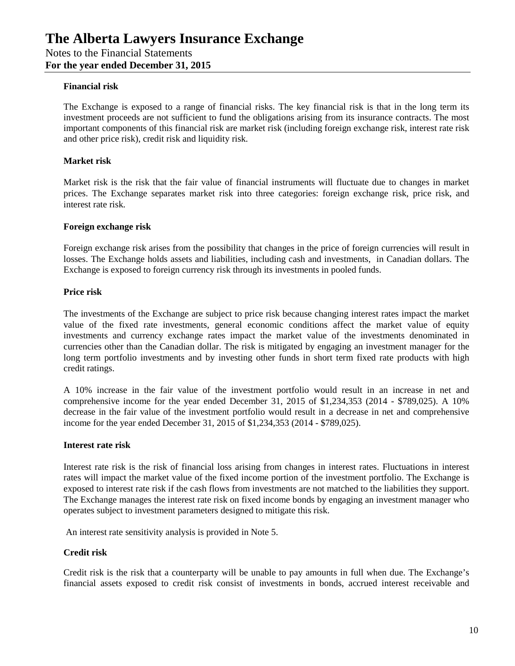#### **Financial risk**

The Exchange is exposed to a range of financial risks. The key financial risk is that in the long term its investment proceeds are not sufficient to fund the obligations arising from its insurance contracts. The most important components of this financial risk are market risk (including foreign exchange risk, interest rate risk and other price risk), credit risk and liquidity risk.

#### **Market risk**

Market risk is the risk that the fair value of financial instruments will fluctuate due to changes in market prices. The Exchange separates market risk into three categories: foreign exchange risk, price risk, and interest rate risk.

#### **Foreign exchange risk**

Foreign exchange risk arises from the possibility that changes in the price of foreign currencies will result in losses. The Exchange holds assets and liabilities, including cash and investments, in Canadian dollars. The Exchange is exposed to foreign currency risk through its investments in pooled funds.

#### **Price risk**

The investments of the Exchange are subject to price risk because changing interest rates impact the market value of the fixed rate investments, general economic conditions affect the market value of equity investments and currency exchange rates impact the market value of the investments denominated in currencies other than the Canadian dollar. The risk is mitigated by engaging an investment manager for the long term portfolio investments and by investing other funds in short term fixed rate products with high credit ratings.

A 10% increase in the fair value of the investment portfolio would result in an increase in net and comprehensive income for the year ended December 31, 2015 of \$1,234,353 (2014 - \$789,025). A 10% decrease in the fair value of the investment portfolio would result in a decrease in net and comprehensive income for the year ended December 31, 2015 of \$1,234,353 (2014 - \$789,025).

#### **Interest rate risk**

Interest rate risk is the risk of financial loss arising from changes in interest rates. Fluctuations in interest rates will impact the market value of the fixed income portion of the investment portfolio. The Exchange is exposed to interest rate risk if the cash flows from investments are not matched to the liabilities they support. The Exchange manages the interest rate risk on fixed income bonds by engaging an investment manager who operates subject to investment parameters designed to mitigate this risk.

An interest rate sensitivity analysis is provided in Note 5.

## **Credit risk**

Credit risk is the risk that a counterparty will be unable to pay amounts in full when due. The Exchange's financial assets exposed to credit risk consist of investments in bonds, accrued interest receivable and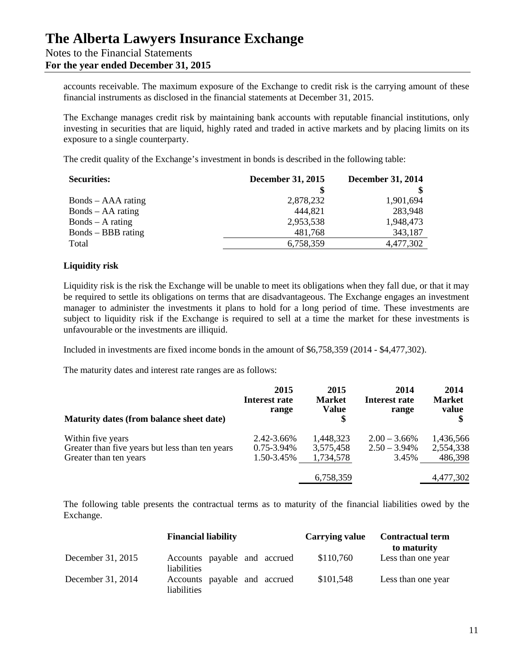## **The Alberta Lawyers Insurance Exchange** Notes to the Financial Statements

**For the year ended December 31, 2015**

accounts receivable. The maximum exposure of the Exchange to credit risk is the carrying amount of these financial instruments as disclosed in the financial statements at December 31, 2015.

The Exchange manages credit risk by maintaining bank accounts with reputable financial institutions, only investing in securities that are liquid, highly rated and traded in active markets and by placing limits on its exposure to a single counterparty.

The credit quality of the Exchange's investment in bonds is described in the following table:

| <b>Securities:</b>  | <b>December 31, 2015</b> | December 31, 2014 |  |
|---------------------|--------------------------|-------------------|--|
|                     |                          |                   |  |
| Bonds – AAA rating  | 2,878,232                | 1,901,694         |  |
| $Bonds - AA rating$ | 444,821                  | 283,948           |  |
| $Bonds - A rating$  | 2,953,538                | 1,948,473         |  |
| Bonds – BBB rating  | 481,768                  | 343,187           |  |
| Total               | 6,758,359                | 4,477,302         |  |

## **Liquidity risk**

Liquidity risk is the risk the Exchange will be unable to meet its obligations when they fall due, or that it may be required to settle its obligations on terms that are disadvantageous. The Exchange engages an investment manager to administer the investments it plans to hold for a long period of time. These investments are subject to liquidity risk if the Exchange is required to sell at a time the market for these investments is unfavourable or the investments are illiquid.

Included in investments are fixed income bonds in the amount of \$6,758,359 (2014 - \$4,477,302).

The maturity dates and interest rate ranges are as follows:

| Maturity dates (from balance sheet date)        | 2015<br>Interest rate<br>range | 2015<br><b>Market</b><br><b>Value</b> | 2014<br>Interest rate<br>range | 2014<br><b>Market</b><br>value |
|-------------------------------------------------|--------------------------------|---------------------------------------|--------------------------------|--------------------------------|
| Within five years                               | 2.42-3.66%                     | 1,448,323                             | $2.00 - 3.66\%$                | 1,436,566                      |
| Greater than five years but less than ten years | $0.75 - 3.94\%$                | 3,575,458                             | $2.50 - 3.94\%$                | 2,554,338                      |
| Greater than ten years                          | 1.50-3.45%                     | 1,734,578                             | 3.45%                          | 486,398                        |
|                                                 |                                | 6,758,359                             |                                | 4,477,302                      |

The following table presents the contractual terms as to maturity of the financial liabilities owed by the Exchange.

|                   | <b>Financial liability</b>                         |  | <b>Carrying value</b> | <b>Contractual term</b><br>to maturity |
|-------------------|----------------------------------------------------|--|-----------------------|----------------------------------------|
| December 31, 2015 | Accounts payable and accrued<br><i>liabilities</i> |  | \$110,760             | Less than one year                     |
| December 31, 2014 | Accounts payable and accrued<br>liabilities        |  | \$101,548             | Less than one year                     |